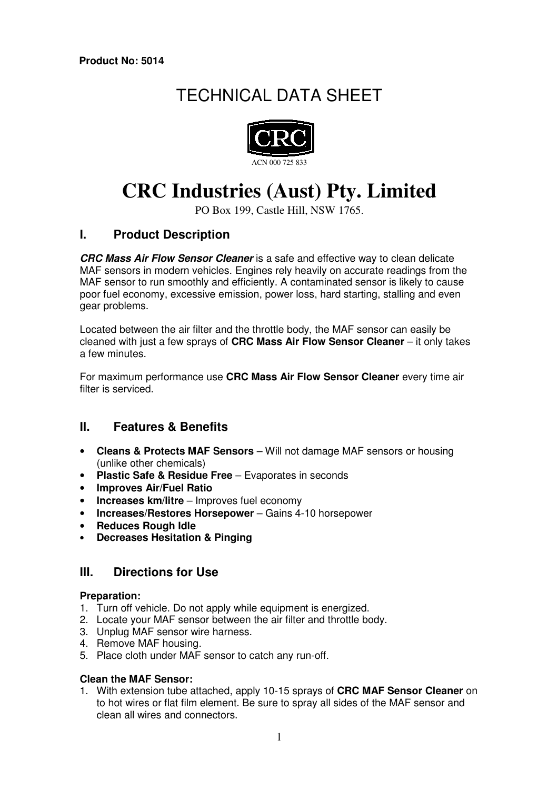# TECHNICAL DATA SHEET



# **CRC Industries (Aust) Pty. Limited**

PO Box 199, Castle Hill, NSW 1765.

# **I. Product Description**

**CRC Mass Air Flow Sensor Cleaner** is a safe and effective way to clean delicate MAF sensors in modern vehicles. Engines rely heavily on accurate readings from the MAF sensor to run smoothly and efficiently. A contaminated sensor is likely to cause poor fuel economy, excessive emission, power loss, hard starting, stalling and even gear problems.

Located between the air filter and the throttle body, the MAF sensor can easily be cleaned with just a few sprays of **CRC Mass Air Flow Sensor Cleaner** – it only takes a few minutes.

For maximum performance use **CRC Mass Air Flow Sensor Cleaner** every time air filter is serviced.

## **II. Features & Benefits**

- **Cleans & Protects MAF Sensors** Will not damage MAF sensors or housing (unlike other chemicals)
- **Plastic Safe & Residue Free** Evaporates in seconds
- **Improves Air/Fuel Ratio**
- **Increases km/litre** Improves fuel economy
- **Increases/Restores Horsepower** Gains 4-10 horsepower
- **Reduces Rough Idle**
- **Decreases Hesitation & Pinging**

## **III. Directions for Use**

#### **Preparation:**

- 1. Turn off vehicle. Do not apply while equipment is energized.
- 2. Locate your MAF sensor between the air filter and throttle body.
- 3. Unplug MAF sensor wire harness.
- 4. Remove MAF housing.
- 5. Place cloth under MAF sensor to catch any run-off.

#### **Clean the MAF Sensor:**

1. With extension tube attached, apply 10-15 sprays of **CRC MAF Sensor Cleaner** on to hot wires or flat film element. Be sure to spray all sides of the MAF sensor and clean all wires and connectors.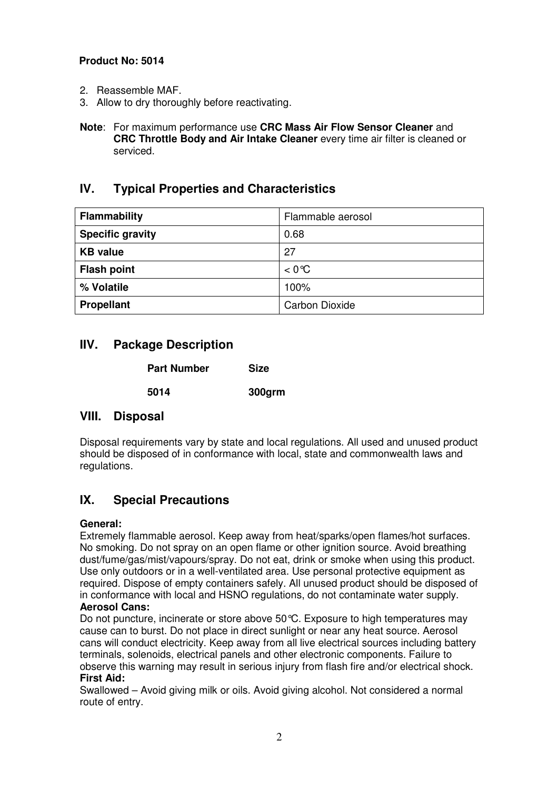#### **Product No: 5014**

- 2. Reassemble MAF.
- 3. Allow to dry thoroughly before reactivating.
- **Note**: For maximum performance use **CRC Mass Air Flow Sensor Cleaner** and **CRC Throttle Body and Air Intake Cleaner** every time air filter is cleaned or serviced.

# **IV. Typical Properties and Characteristics**

| <b>Flammability</b>     | Flammable aerosol     |
|-------------------------|-----------------------|
| <b>Specific gravity</b> | 0.68                  |
| <b>KB</b> value         | 27                    |
| <b>Flash point</b>      | $< 0^{\circ}C$        |
| % Volatile              | 100%                  |
| <b>Propellant</b>       | <b>Carbon Dioxide</b> |

# **IIV. Package Description**

| <b>Part Number</b> |      | <b>Size</b> |  |
|--------------------|------|-------------|--|
|                    | 5014 | 300grm      |  |

## **VIII. Disposal**

Disposal requirements vary by state and local regulations. All used and unused product should be disposed of in conformance with local, state and commonwealth laws and regulations.

# **IX. Special Precautions**

#### **General:**

Extremely flammable aerosol. Keep away from heat/sparks/open flames/hot surfaces. No smoking. Do not spray on an open flame or other ignition source. Avoid breathing dust/fume/gas/mist/vapours/spray. Do not eat, drink or smoke when using this product. Use only outdoors or in a well-ventilated area. Use personal protective equipment as required. Dispose of empty containers safely. All unused product should be disposed of in conformance with local and HSNO regulations, do not contaminate water supply.

### **Aerosol Cans:**

Do not puncture, incinerate or store above 50°C. Exposure to high temperatures may cause can to burst. Do not place in direct sunlight or near any heat source. Aerosol cans will conduct electricity. Keep away from all live electrical sources including battery terminals, solenoids, electrical panels and other electronic components. Failure to observe this warning may result in serious injury from flash fire and/or electrical shock. **First Aid:** 

Swallowed – Avoid giving milk or oils. Avoid giving alcohol. Not considered a normal route of entry.